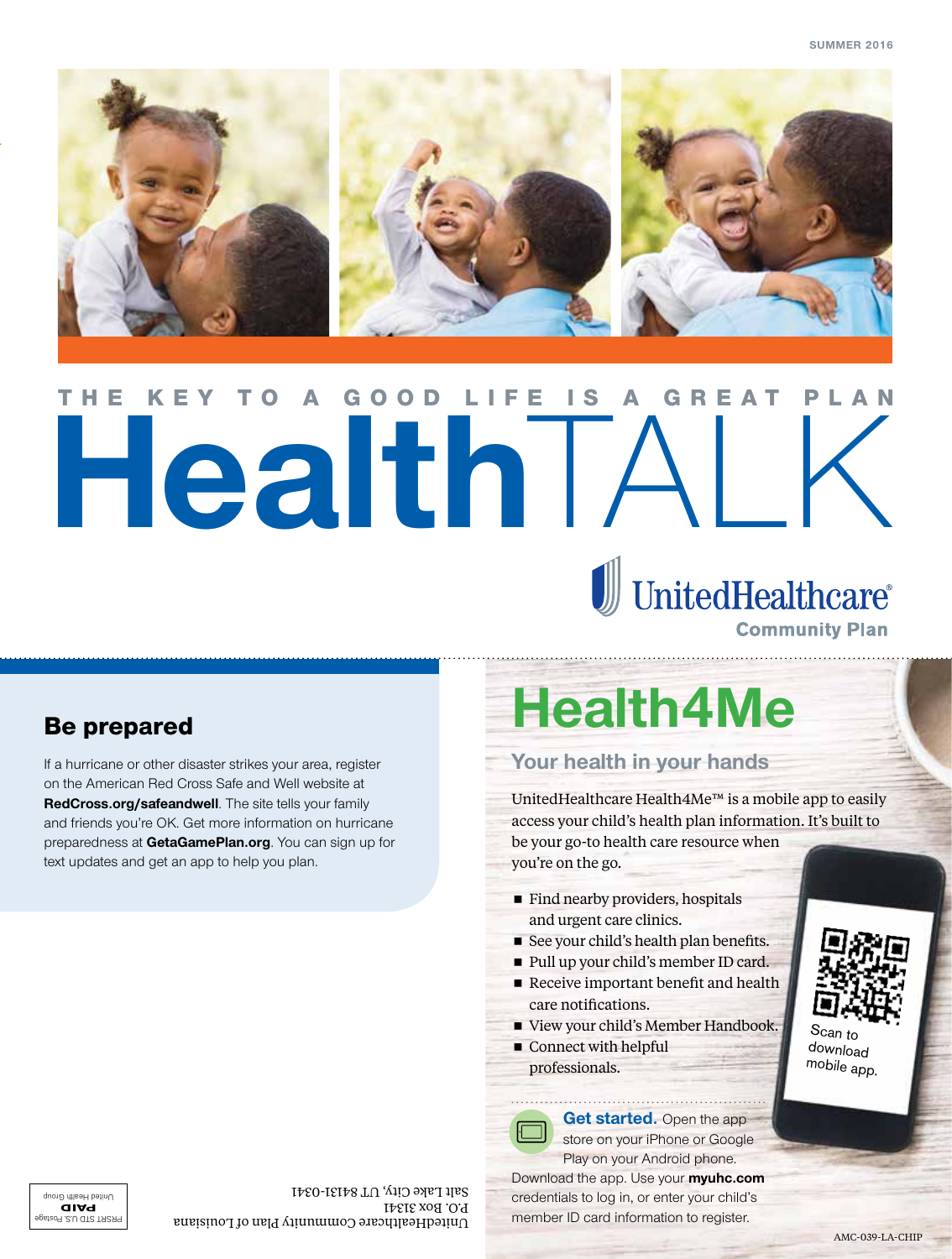

# THE KEY TO A GOOD LIFE IS A GREAT PLAN<br>
UnitedHealthcare GOOD

**Community Plan** 

### Be prepared

If a hurricane or other disaster strikes your area, register on the American Red Cross Safe and Well website at **RedCross.org/safeandwell**. The site tells your family and friends you're OK. Get more information on hurricane preparedness at **GetaGamePlan.org**. You can sign up for text updates and get an app to help you plan.

# **Health4Me**

#### **Your health in your hands**

UnitedHealthcare Health4Me™ is a mobile app to easily access your child's health plan information. It's built to be your go-to health care resource when you're on the go.

- $\blacksquare$  Find nearby providers, hospitals and urgent care clinics.
- See your child's health plan benefits.
- Pull up your child's member ID card.
- Receive important benefit and health care notifications.
- View your child's Member Handbook.
- Connect with helpful professionals.

**Get started.** Open the app store on your iPhone or Google



Play on your Android phone. Download the app. Use your **myuhc.com** credentials to log in, or enter your child's



unity Cit And Od member ID card information to register. P.O. Box 31341 Salt Lake City, UT 84131-0341

AMC-039-LA-CHIP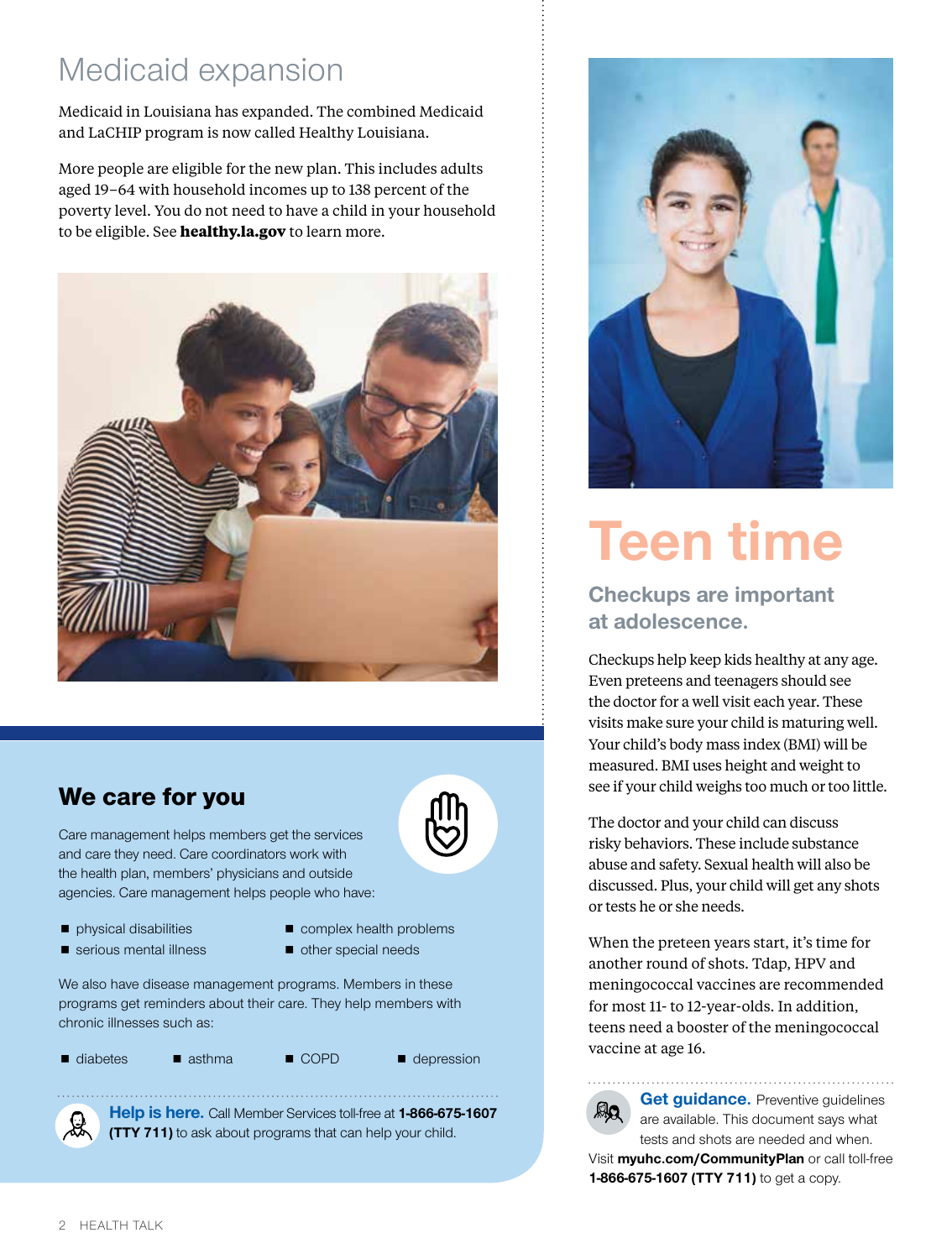## Medicaid expansion

Medicaid in Louisiana has expanded. The combined Medicaid and LaCHIP program is now called Healthy Louisiana.

More people are eligible for the new plan. This includes adults aged 19–64 with household incomes up to 138 percent of the poverty level. You do not need to have a child in your household to be eligible. See **healthy.la.gov** to learn more.



### We care for you

Care management helps members get the services and care they need. Care coordinators work with the health plan, members' physicians and outside agencies. Care management helps people who have:

- physical disabilities
- complex health problems
- serious mental illness
- other special needs

We also have disease management programs. Members in these programs get reminders about their care. They help members with chronic illnesses such as:

■ diabetes ■ asthma ■ COPD ■ depression



**Help is here.** Call Member Services toll-free at **1-866-675-1607 (TTY 711)** to ask about programs that can help your child.



# **Teen time**

### **Checkups are important at adolescence.**

Checkups help keep kids healthy at any age. Even preteens and teenagers should see the doctor for a well visit each year. These visits make sure your child is maturing well. Your child's body mass index (BMI) will be measured. BMI uses height and weight to see if your child weighs too much or too little.

The doctor and your child can discuss risky behaviors. These include substance abuse and safety. Sexual health will also be discussed. Plus, your child will get any shots or tests he or she needs.

When the preteen years start, it's time for another round of shots. Tdap, HPV and meningococcal vaccines are recommended for most 11- to 12-year-olds. In addition, teens need a booster of the meningococcal vaccine at age 16.

**Get guidance.** Preventive guidelines are available. This document says what tests and shots are needed and when. Visit **myuhc.com/CommunityPlan** or call toll-free **1-866-675-1607 (TTY 711)** to get a copy.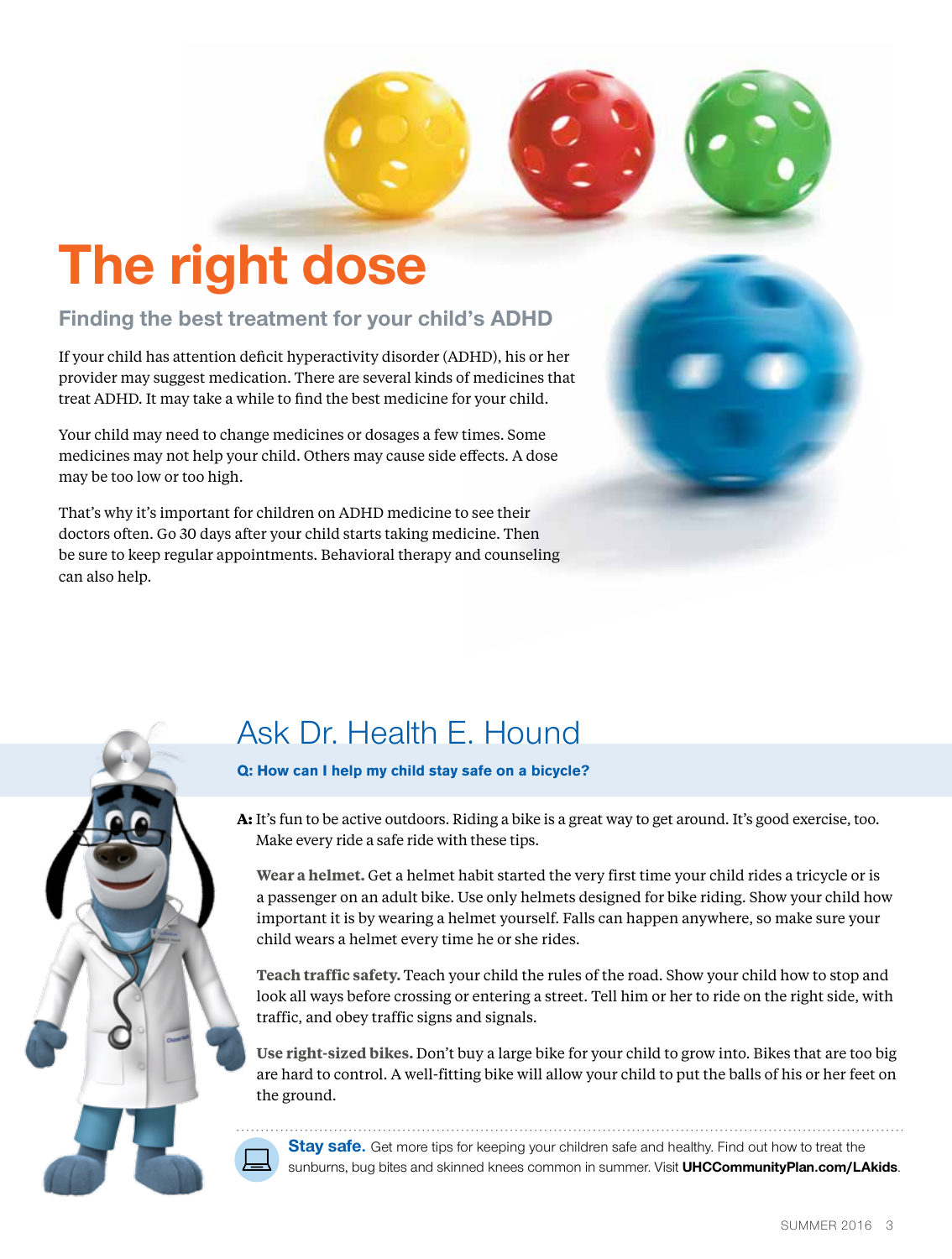# **The right dose**

#### **Finding the best treatment for your child's ADHD**

If your child has attention deficit hyperactivity disorder (ADHD), his or her provider may suggest medication. There are several kinds of medicines that treat ADHD. It may take a while to find the best medicine for your child.

Your child may need to change medicines or dosages a few times. Some medicines may not help your child. Others may cause side effects. A dose may be too low or too high.

That's why it's important for children on ADHD medicine to see their doctors often. Go 30 days after your child starts taking medicine. Then be sure to keep regular appointments. Behavioral therapy and counseling can also help.



# Ask Dr. Health E. Hound

#### **Q: How can I help my child stay safe on a bicycle?**

**A:** It's fun to be active outdoors. Riding a bike is a great way to get around. It's good exercise, too. Make every ride a safe ride with these tips.

**Wear a helmet.** Get a helmet habit started the very first time your child rides a tricycle or is a passenger on an adult bike. Use only helmets designed for bike riding. Show your child how important it is by wearing a helmet yourself. Falls can happen anywhere, so make sure your child wears a helmet every time he or she rides.

**Teach traffic safety.** Teach your child the rules of the road. Show your child how to stop and look all ways before crossing or entering a street. Tell him or her to ride on the right side, with traffic, and obey traffic signs and signals.

**Use right-sized bikes.** Don't buy a large bike for your child to grow into. Bikes that are too big are hard to control. A well-fitting bike will allow your child to put the balls of his or her feet on the ground.

**Stay safe.** Get more tips for keeping your children safe and healthy. Find out how to treat the sunburns, bug bites and skinned knees common in summer. Visit **UHCCommunityPlan.com/LAkids**.